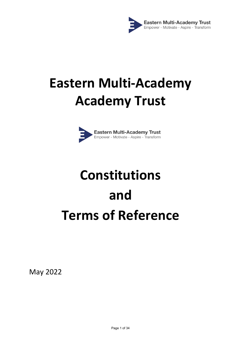

# **Eastern Multi-Academy Academy Trust**



# **Constitutions and Terms of Reference**

May 2022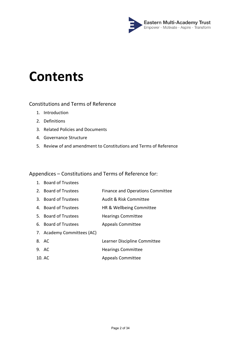

# **Contents**

# Constitutions and Terms of Reference

- 1. Introduction
- 2. Definitions
- 3. Related Policies and Documents
- 4. Governance Structure
- 5. Review of and amendment to Constitutions and Terms of Reference

# Appendices – Constitutions and Terms of Reference for:

- 1. Board of Trustees
- 2. Board of Trustees Finance and Operations Committee
- 3. Board of Trustees Audit & Risk Committee
- 4. Board of Trustees HR & Wellbeing Committee
- 5. Board of Trustees Hearings Committee
- 6. Board of Trustees Appeals Committee
- 7. Academy Committees (AC)
- 8. AC Learner Discipline Committee
- 9. AC Hearings Committee
- 10. AC Appeals Committee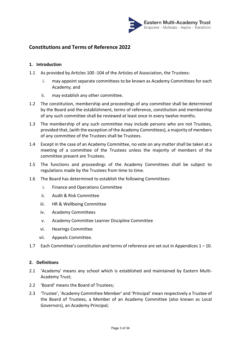

# **Constitutions and Terms of Reference 2022**

# **1. Introduction**

- 1.1 As provided by Articles 100 -104 of the Articles of Association, the Trustees:
	- i. may appoint separate committees to be known as Academy Committees for each Academy; and
	- ii. may establish any other committee.
- 1.2 The constitution, membership and proceedings of any committee shall be determined by the Board and the establishment, terms of reference, constitution and membership of any such committee shall be reviewed at least once in every twelve months.
- 1.3 The membership of any such committee may include persons who are not Trustees, provided that, (with the exception of the Academy Committees), a majority of members of any committee of the Trustees shall be Trustees.
- 1.4 Except in the case of an Academy Committee, no vote on any matter shall be taken at a meeting of a committee of the Trustees unless the majority of members of the committee present are Trustees.
- 1.5 The functions and proceedings of the Academy Committees shall be subject to regulations made by the Trustees from time to time.
- 1.6 The Board has determined to establish the following Committees:
	- i. Finance and Operations Committee
	- ii. Audit & Risk Committee
	- iii. HR & Wellbeing Committee
	- iv. Academy Committees
	- v. Academy Committee Learner Discipline Committee
	- vi. Hearings Committee
	- vii. Appeals Committee.
- 1.7 Each Committee's constitution and terms of reference are set out in Appendices 1 10.

#### **2. Definitions**

- 2.1 'Academy' means any school which is established and maintained by Eastern Multi-Academy Trust;
- 2.2 'Board' means the Board of Trustees;
- 2.3 'Trustee', 'Academy Committee Member' and 'Principal' mean respectively a Trustee of the Board of Trustees, a Member of an Academy Committee (also known as Local Governors), an Academy Principal;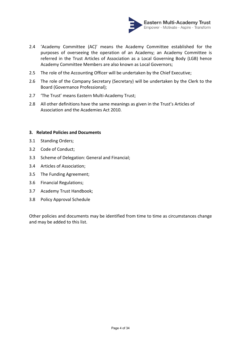

- 2.4 'Academy Committee (AC)' means the Academy Committee established for the purposes of overseeing the operation of an Academy; an Academy Committee is referred in the Trust Articles of Association as a Local Governing Body (LGB) hence Academy Committee Members are also known as Local Governors;
- 2.5 The role of the Accounting Officer will be undertaken by the Chief Executive;
- 2.6 The role of the Company Secretary (Secretary) will be undertaken by the Clerk to the Board (Governance Professional);
- 2.7 'The Trust' means Eastern Multi-Academy Trust;
- 2.8 All other definitions have the same meanings as given in the Trust's Articles of Association and the Academies Act 2010.

# **3. Related Policies and Documents**

- 3.1 Standing Orders;
- 3.2 Code of Conduct;
- 3.3 Scheme of Delegation: General and Financial;
- 3.4 Articles of Association;
- 3.5 The Funding Agreement;
- 3.6 Financial Regulations;
- 3.7 Academy Trust Handbook;
- 3.8 Policy Approval Schedule

Other policies and documents may be identified from time to time as circumstances change and may be added to this list.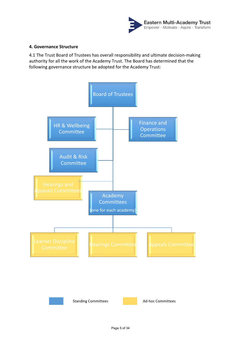

# **4. Governance Structure**

4.1 The Trust Board of Trustees has overall responsibility and ultimate decision-making authority for all the work of the Academy Trust. The Board has determined that the following governance structure be adopted for the Academy Trust:

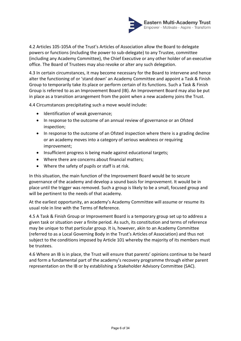

4.2 Articles 105-105A of the Trust's Articles of Association allow the Board to delegate powers or functions (including the power to sub-delegate) to any Trustee, committee (including any Academy Committee), the Chief Executive or any other holder of an executive office. The Board of Trustees may also revoke or alter any such delegation.

4.3 In certain circumstances, it may become necessary for the Board to intervene and hence alter the functioning of or 'stand down' an Academy Committee and appoint a Task & Finish Group to temporarily take its place or perform certain of its functions. Such a Task & Finish Group is referred to as an Improvement Board (IB). An Improvement Board may also be put in place as a transition arrangement from the point when a new academy joins the Trust.

4.4 Circumstances precipitating such a move would include:

- Identification of weak governance;
- In response to the outcome of an annual review of governance or an Ofsted inspection;
- In response to the outcome of an Ofsted inspection where there is a grading decline or an academy moves into a category of serious weakness or requiring improvement;
- Insufficient progress is being made against educational targets;
- Where there are concerns about financial matters;
- Where the safety of pupils or staff is at risk.

In this situation, the main function of the Improvement Board would be to secure governance of the academy and develop a sound basis for improvement. It would be in place until the trigger was removed. Such a group is likely to be a small, focused group and will be pertinent to the needs of that academy.

At the earliest opportunity, an academy's Academy Committee will assume or resume its usual role in line with the Terms of Reference.

4.5 A Task & Finish Group or Improvement Board is a temporary group set up to address a given task or situation over a finite period. As such, its constitution and terms of reference may be unique to that particular group. It is, however, akin to an Academy Committee (referred to as a Local Governing Body in the Trust's Articles of Association) and thus not subject to the conditions imposed by Article 101 whereby the majority of its members must be trustees.

4.6 Where an IB is in place, the Trust will ensure that parents' opinions continue to be heard and form a fundamental part of the academy's recovery programme through either parent representation on the IB or by establishing a Stakeholder Advisory Committee (SAC).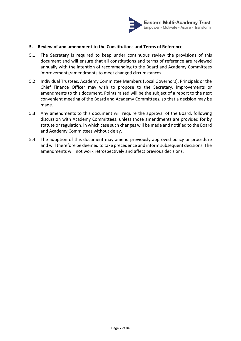

# **5. Review of and amendment to the Constitutions and Terms of Reference**

- 5.1 The Secretary is required to keep under continuous review the provisions of this document and will ensure that all constitutions and terms of reference are reviewed annually with the intention of recommending to the Board and Academy Committees improvements/amendments to meet changed circumstances.
- 5.2 Individual Trustees, Academy Committee Members (Local Governors), Principals or the Chief Finance Officer may wish to propose to the Secretary, improvements or amendments to this document. Points raised will be the subject of a report to the next convenient meeting of the Board and Academy Committees, so that a decision may be made.
- 5.3 Any amendments to this document will require the approval of the Board, following discussion with Academy Committees, unless those amendments are provided for by statute or regulation, in which case such changes will be made and notified to the Board and Academy Committees without delay.
- 5.4 The adoption of this document may amend previously approved policy or procedure and will therefore be deemed to take precedence and inform subsequent decisions. The amendments will not work retrospectively and affect previous decisions.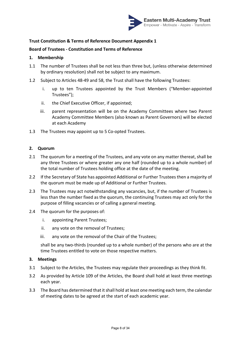

# **Board of Trustees - Constitution and Terms of Reference**

# **1. Membership**

- 1.1 The number of Trustees shall be not less than three but, (unless otherwise determined by ordinary resolution) shall not be subject to any maximum.
- 1.2 Subject to Articles 48-49 and 58, the Trust shall have the following Trustees:
	- i. up to ten Trustees appointed by the Trust Members ("Member-appointed Trustees");
	- ii. the Chief Executive Officer, if appointed;
	- iii. parent representation will be on the Academy Committees where two Parent Academy Committee Members (also known as Parent Governors) will be elected at each Academy
- 1.3 The Trustees may appoint up to 5 Co-opted Trustees.

# **2. Quorum**

- 2.1 The quorum for a meeting of the Trustees, and any vote on any matter thereat, shall be any three Trustees or where greater any one half (rounded up to a whole number) of the total number of Trustees holding office at the date of the meeting.
- 2.2 If the Secretary of State has appointed Additional or Further Trustees then a majority of the quorum must be made up of Additional or Further Trustees.
- 2.3 The Trustees may act notwithstanding any vacancies, but, if the number of Trustees is less than the number fixed as the quorum, the continuing Trustees may act only for the purpose of filling vacancies or of calling a general meeting.
- 2.4 The quorum for the purposes of:
	- i. appointing Parent Trustees;
	- ii. any vote on the removal of Trustees;
	- iii. any vote on the removal of the Chair of the Trustees;

shall be any two-thirds (rounded up to a whole number) of the persons who are at the time Trustees entitled to vote on those respective matters.

#### **3. Meetings**

- 3.1 Subject to the Articles, the Trustees may regulate their proceedings as they think fit.
- 3.2 As provided by Article 109 of the Articles, the Board shall hold at least three meetings each year.
- 3.3 The Board has determined that it shall hold at least one meeting each term, the calendar of meeting dates to be agreed at the start of each academic year.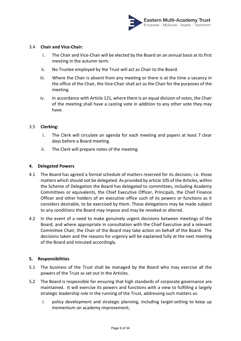

# 3.4 **Chair and Vice-Chair:**

- i. The Chair and Vice-Chair will be elected by the Board on an annual basis at its first meeting in the autumn term.
- ii. No Trustee employed by the Trust will act as Chair to the Board.
- iii. Where the Chair is absent from any meeting or there is at the time a vacancy in the office of the Chair, the Vice-Chair shall act as the Chair for the purposes of the meeting.
- iv. In accordance with Article 121, where there is an equal division of votes, the Chair of the meeting shall have a casting vote in addition to any other vote they may have.

# 3.5 **Clerking:**

- i. The Clerk will circulate an agenda for each meeting and papers at least 7 clear days before a Board meeting.
- ii. The Clerk will prepare notes of the meeting.

# **4. Delegated Powers**

- 4.1 The Board has agreed a formal schedule of matters reserved for its decision, i.e. those matters which should not be delegated. As provided by article 105 of the Articles, within the Scheme of Delegation the Board has delegated to committees, including Academy Committees or equivalents, the Chief Executive Officer, Principals, the Chief Finance Officer and other holders of an executive office such of its powers or functions as it considers desirable, to be exercised by them. Those delegations may be made subject to any conditions the Board may impose and may be revoked or altered.
- 4.2 In the event of a need to make genuinely urgent decisions between meetings of the Board, and where appropriate in consultation with the Chief Executive and a relevant Committee Chair, the Chair of the Board may take action on behalf of the Board. The decisions taken and the reasons for urgency will be explained fully at the next meeting of the Board and minuted accordingly.

#### **5. Responsibilities**

- 5.1 The business of the Trust shall be managed by the Board who may exercise all the powers of the Trust as set out in the Articles.
- 5.2 The Board is responsible for ensuring that high standards of corporate governance are maintained. It will exercise its powers and functions with a view to fulfilling a largely strategic leadership role in the running of the Trust, addressing such matters as:
	- i. policy development and strategic planning, including target-setting to keep up momentum on academy improvement;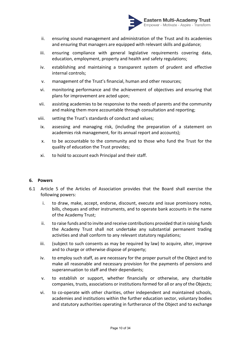

- ii. ensuring sound management and administration of the Trust and its academies and ensuring that managers are equipped with relevant skills and guidance;
- iii. ensuring compliance with general legislative requirements covering data, education, employment, property and health and safety regulations;
- iv. establishing and maintaining a transparent system of prudent and effective internal controls;
- v. management of the Trust's financial, human and other resources;
- vi. monitoring performance and the achievement of objectives and ensuring that plans for improvement are acted upon;
- vii. assisting academies to be responsive to the needs of parents and the community and making them more accountable through consultation and reporting;
- viii. setting the Trust's standards of conduct and values;
- ix. assessing and managing risk, (including the preparation of a statement on academies risk management, for its annual report and accounts);
- x. to be accountable to the community and to those who fund the Trust for the quality of education the Trust provides;
- xi. to hold to account each Principal and their staff.

#### **6. Powers**

- 6.1 Article 5 of the Articles of Association provides that the Board shall exercise the following powers:
	- i. to draw, make, accept, endorse, discount, execute and issue promissory notes, bills, cheques and other instruments, and to operate bank accounts in the name of the Academy Trust;
	- ii. to raise funds and to invite and receive contributions provided that in raising funds the Academy Trust shall not undertake any substantial permanent trading activities and shall conform to any relevant statutory regulations;
	- iii. (subject to such consents as may be required by law) to acquire, alter, improve and to charge or otherwise dispose of property;
	- iv. to employ such staff, as are necessary for the proper pursuit of the Object and to make all reasonable and necessary provision for the payments of pensions and superannuation to staff and their dependants;
	- v. to establish or support, whether financially or otherwise, any charitable companies, trusts, associations or institutions formed for all or any of the Objects;
	- vi. to co-operate with other charities, other independent and maintained schools, academies and institutions within the further education sector, voluntary bodies and statutory authorities operating in furtherance of the Object and to exchange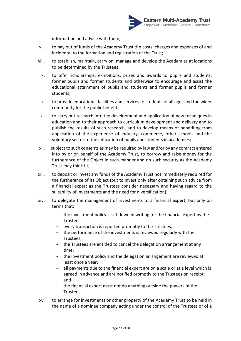

information and advice with them;

- vii. to pay out of funds of the Academy Trust the costs, charges and expenses of and incidental to the formation and registration of the Trust;
- viii. to establish, maintain, carry on, manage and develop the Academies at locations to be determined by the Trustees;
- ix. to offer scholarships, exhibitions, prizes and awards to pupils and students, former pupils and former students and otherwise to encourage and assist the educational attainment of pupils and students and former pupils and former students;
- x. to provide educational facilities and services to students of all ages and the wider community for the public benefit;
- xi. to carry out research into the development and application of new techniques in education and to their approach to curriculum development and delivery and to publish the results of such research, and to develop means of benefiting from application of the experience of industry, commerce, other schools and the voluntary sector to the education of pupils and students in academies;
- xii. subject to such consents as may be required by law and/or by any contract entered into by or on behalf of the Academy Trust, to borrow and raise money for the furtherance of the Object in such manner and on such security as the Academy Trust may think fit;
- xiii. to deposit or invest any funds of the Academy Trust not immediately required for the furtherance of its Object (but to invest only after obtaining such advice from a financial expert as the Trustees consider necessary and having regard to the suitability of investments and the need for diversification);
- xiv. to delegate the management of investments to a financial expert, but only on terms that:
	- the investment policy is set down in writing for the financial expert by the Trustees;
	- every transaction is reported promptly to the Trustees;
	- the performance of the investments is reviewed regularly with the Trustees;
	- the Trustees are entitled to cancel the delegation arrangement at any time;
	- the investment policy and the delegation arrangement are reviewed at least once a year;
	- all payments due to the financial expert are on a scale or at a level which is agreed in advance and are notified promptly to the Trustees on receipt; and
	- the financial expert must not do anything outside the powers of the Trustees;
- xv. to arrange for investments or other property of the Academy Trust to be held in the name of a nominee company acting under the control of the Trustees or of a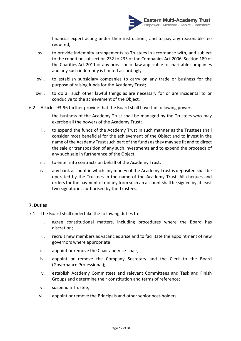

financial expert acting under their instructions, and to pay any reasonable fee required;

- xvi. to provide indemnity arrangements to Trustees in accordance with, and subject to the conditions of section 232 to 235 of the Companies Act 2006. Section 189 of the Charities Act 2011 or any provision of law applicable to charitable companies and any such indemnity is limited accordingly;
- xvii. to establish subsidiary companies to carry on any trade or business for the purpose of raising funds for the Academy Trust;
- xviii. to do all such other lawful things as are necessary for or are incidental to or conducive to the achievement of the Object.
- 6.2 Articles 93-96 further provide that the Board shall have the following powers:
	- i. the business of the Academy Trust shall be managed by the Trustees who may exercise all the powers of the Academy Trust;
	- ii. to expend the funds of the Academy Trust in such manner as the Trustees shall consider most beneficial for the achievement of the Object and to invest in the name of the Academy Trust such part of the funds as they may see fit and to direct the sale or transposition of any such investments and to expend the proceeds of any such sale in furtherance of the Object;
	- iii. to enter into contracts on behalf of the Academy Trust;
	- iv. any bank account in which any money of the Academy Trust is deposited shall be operated by the Trustees in the name of the Academy Trust. All cheques and orders for the payment of money from such an account shall be signed by at least two signatories authorised by the Trustees.

# **7. Duties**

- 7.1 The Board shall undertake the following duties to:
	- i. agree constitutional matters, including procedures where the Board has discretion;
	- ii. recruit new members as vacancies arise and to facilitate the appointment of new governors where appropriate;
	- iii. appoint or remove the Chair and Vice-chair;
	- iv. appoint or remove the Company Secretary and the Clerk to the Board (Governance Professional);
	- v. establish Academy Committees and relevant Committees and Task and Finish Groups and determine their constitution and terms of reference;
	- vi. suspend a Trustee;
	- vii. appoint or remove the Principals and other senior post-holders;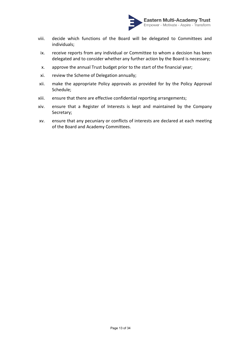

- viii. decide which functions of the Board will be delegated to Committees and individuals;
- ix. receive reports from any individual or Committee to whom a decision has been delegated and to consider whether any further action by the Board is necessary;
- x. approve the annual Trust budget prior to the start of the financial year;
- xi. review the Scheme of Delegation annually;
- xii. make the appropriate Policy approvals as provided for by the Policy Approval Schedule;
- xiii. ensure that there are effective confidential reporting arrangements;
- xiv. ensure that a Register of Interests is kept and maintained by the Company Secretary;
- xv. ensure that any pecuniary or conflicts of interests are declared at each meeting of the Board and Academy Committees.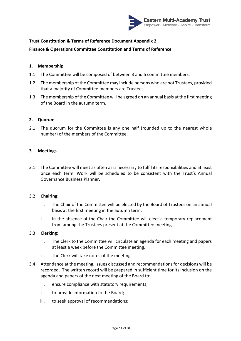

# **Finance & Operations Committee Constitution and Terms of Reference**

# **1. Membership**

- 1.1 The Committee will be composed of between 3 and 5 committee members.
- 1.2 The membership of the Committee may include persons who are not Trustees, provided that a majority of Committee members are Trustees.
- 1.3 The membership of the Committee will be agreed on an annual basis at the first meeting of the Board in the autumn term.

# **2. Quorum**

2.1 The quorum for the Committee is any one half (rounded up to the nearest whole number) of the members of the Committee.

# **3. Meetings**

3.1 The Committee will meet as often as is necessary to fulfil its responsibilities and at least once each term. Work will be scheduled to be consistent with the Trust's Annual Governance Business Planner.

#### 3.2 **Chairing:**

- i. The Chair of the Committee will be elected by the Board of Trustees on an annual basis at the first meeting in the autumn term.
- ii. In the absence of the Chair the Committee will elect a temporary replacement from among the Trustees present at the Committee meeting.

# 3.3 **Clerking:**

- i. The Clerk to the Committee will circulate an agenda for each meeting and papers at least a week before the Committee meeting.
- ii. The Clerk will take notes of the meeting
- 3.4 Attendance at the meeting, issues discussed and recommendations for decisions will be recorded. The written record will be prepared in sufficient time for its inclusion on the agenda and papers of the next meeting of the Board to:
	- i. ensure compliance with statutory requirements;
	- ii. to provide information to the Board;
	- iii. to seek approval of recommendations;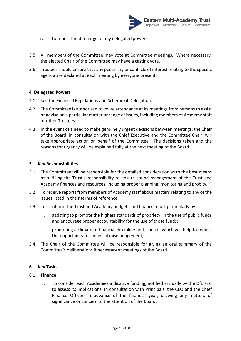

- iv. to report the discharge of any delegated powers.
- 3.5 All members of the Committee may vote at Committee meetings. Where necessary, the elected Chair of the Committee may have a casting vote.
- 3.6 Trusteesshould ensure that any pecuniary or conflicts of interest relating to the specific agenda are declared at each meeting by everyone present.

# **4. Delegated Powers**

- 4.1 See the Financial Regulations and Scheme of Delegation.
- 4.2 The Committee is authorised to invite attendance at its meetings from persons to assist or advise on a particular matter or range of issues, including members of Academy staff or other Trustees.
- 4.3 In the event of a need to make genuinely urgent decisions between meetings, the Chair of the Board, in consultation with the Chief Executive and the Committee Chair, will take appropriate action on behalf of the Committee. The decisions taken and the reasons for urgency will be explained fully at the next meeting of the Board.

# **5. Key Responsibilities**

- 5.1 The Committee will be responsible for the detailed consideration as to the best means of fulfilling the Trust's responsibility to ensure sound management of the Trust and Academy finances and resources, including proper planning, monitoring and probity.
- 5.2 To receive reports from members of Academy staff about matters relating to any of the issues listed in their terms of reference.
- 5.3 To scrutinise the Trust and Academy budgets and finance, most particularly by:
	- i. assisting to promote the highest standards of propriety in the use of public funds and encourage proper accountability for the use of those funds;
	- ii. promoting a climate of financial discipline and control which will help to reduce the opportunity for financial mismanagement;
- 5.4 The Chair of the Committee will be responsible for giving an oral summary of the Committee's deliberations if necessary at meetings of the Board.

#### **6. Key Tasks**

#### 6.1 **Finance**

i. To consider each Academies indicative funding, notified annually by the DfE and to assess its implications, in consultation with Principals, the CEO and the Chief Finance Officer, in advance of the financial year, drawing any matters of significance or concern to the attention of the Board.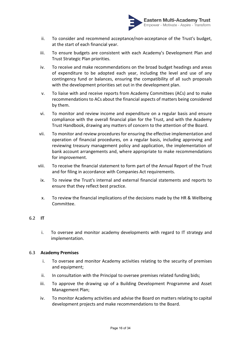

- ii. To consider and recommend acceptance/non-acceptance of the Trust's budget, at the start of each financial year.
- iii. To ensure budgets are consistent with each Academy's Development Plan and Trust Strategic Plan priorities.
- iv. To receive and make recommendations on the broad budget headings and areas of expenditure to be adopted each year, including the level and use of any contingency fund or balances, ensuring the compatibility of all such proposals with the development priorities set out in the development plan.
- v. To liaise with and receive reports from Academy Committees (ACs) and to make recommendations to ACs about the financial aspects of matters being considered by them.
- vi. To monitor and review income and expenditure on a regular basis and ensure compliance with the overall financial plan for the Trust, and with the Academy Trust Handbook, drawing any matters of concern to the attention of the Board.
- vii. To monitor and review procedures for ensuring the effective implementation and operation of financial procedures, on a regular basis, including approving and reviewing treasury management policy and application, the implementation of bank account arrangements and, where appropriate to make recommendations for improvement.
- viii. To receive the financial statement to form part of the Annual Report of the Trust and for filing in accordance with Companies Act requirements.
	- ix. To review the Trust's internal and external financial statements and reports to ensure that they reflect best practice.
	- x. To review the financial implications of the decisions made by the HR & Wellbeing Committee.

# 6.2 **IT**

i. To oversee and monitor academy developments with regard to IT strategy and implementation.

# 6.3 **Academy Premises**

- i. To oversee and monitor Academy activities relating to the security of premises and equipment;
- ii. In consultation with the Principal to oversee premises related funding bids;
- iii. To approve the drawing up of a Building Development Programme and Asset Management Plan;
- iv. To monitor Academy activities and advise the Board on matters relating to capital development projects and make recommendations to the Board.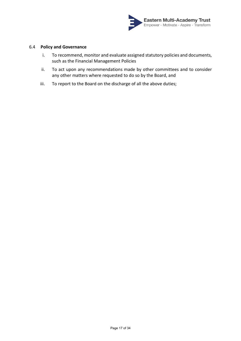

# 6.4 **Policy and Governance**

- i. To recommend, monitor and evaluate assigned statutory policies and documents, such as the Financial Management Policies
- ii. To act upon any recommendations made by other committees and to consider any other matters where requested to do so by the Board, and
- iii. To report to the Board on the discharge of all the above duties;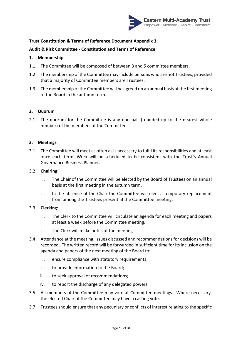

# **Audit & Risk Committee - Constitution and Terms of Reference**

### **1. Membership**

- 1.1 The Committee will be composed of between 3 and 5 committee members.
- 1.2 The membership of the Committee may include persons who are not Trustees, provided that a majority of Committee members are Trustees.
- 1.3 The membership of the Committee will be agreed on an annual basis at the first meeting of the Board in the autumn term.

# **2. Quorum**

2.1 The quorum for the Committee is any one half (rounded up to the nearest whole number) of the members of the Committee.

# **3. Meetings**

3.1 The Committee will meet as often as is necessary to fulfil its responsibilities and at least once each term. Work will be scheduled to be consistent with the Trust's Annual Governance Business Planner.

# 3.2 **Chairing:**

- i. The Chair of the Committee will be elected by the Board of Trustees on an annual basis at the first meeting in the autumn term.
- ii. In the absence of the Chair the Committee will elect a temporary replacement from among the Trustees present at the Committee meeting.

#### 3.3 **Clerking:**

- i. The Clerk to the Committee will circulate an agenda for each meeting and papers at least a week before the Committee meeting.
- ii. The Clerk will make notes of the meeting
- 3.4 Attendance at the meeting, issues discussed and recommendations for decisions will be recorded. The written record will be forwarded in sufficient time for its inclusion on the agenda and papers of the next meeting of the Board to:
	- i. ensure compliance with statutory requirements;
	- ii. to provide information to the Board;
	- iii. to seek approval of recommendations;
	- iv. to report the discharge of any delegated powers.
- 3.5 All members of the Committee may vote at Committee meetings. Where necessary, the elected Chair of the Committee may have a casting vote.
- 3.7 Trustees should ensure that any pecuniary or conflicts of interest relating to the specific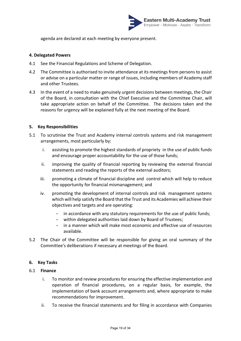

agenda are declared at each meeting by everyone present.

# **4. Delegated Powers**

- 4.1 See the Financial Regulations and Scheme of Delegation.
- 4.2 The Committee is authorised to invite attendance at its meetings from persons to assist or advise on a particular matter or range of issues, including members of Academy staff and other Trustees.
- 4.3 In the event of a need to make genuinely urgent decisions between meetings, the Chair of the Board, in consultation with the Chief Executive and the Committee Chair, will take appropriate action on behalf of the Committee. The decisions taken and the reasons for urgency will be explained fully at the next meeting of the Board.

# **5. Key Responsibilities**

- 5.1 To scrutinise the Trust and Academy internal controls systems and risk management arrangements, most particularly by:
	- i. assisting to promote the highest standards of propriety in the use of public funds and encourage proper accountability for the use of those funds;
	- ii. improving the quality of financial reporting by reviewing the external financial statements and reading the reports of the external auditors;
	- iii. promoting a climate of financial discipline and control which will help to reduce the opportunity for financial mismanagement; and
	- iv. promoting the development of internal controls and risk management systems which will help satisfy the Board that the Trust and its Academies will achieve their objectives and targets and are operating:
		- in accordance with any statutory requirements for the use of public funds;
		- within delegated authorities laid down by Board of Trustees;
		- in a manner which will make most economic and effective use of resources available.
- 5.2 The Chair of the Committee will be responsible for giving an oral summary of the Committee's deliberations if necessary at meetings of the Board.

#### **6. Key Tasks**

#### 6.1 **Finance**

- i. To monitor and review procedures for ensuring the effective implementation and operation of financial procedures, on a regular basis, for example, the implementation of bank account arrangements and, where appropriate to make recommendations for improvement.
- ii. To receive the financial statements and for filing in accordance with Companies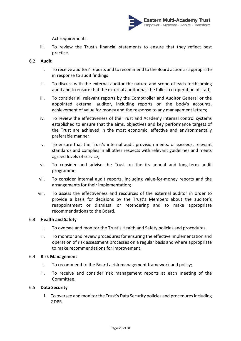

Act requirements.

iii. To review the Trust's financial statements to ensure that they reflect best practice.

# 6.2 **Audit**

- i. To receive auditors' reports and to recommend to the Board action as appropriate in response to audit findings
- ii. To discuss with the external auditor the nature and scope of each forthcoming audit and to ensure that the external auditor has the fullest co-operation of staff;
- iii. To consider all relevant reports by the Comptroller and Auditor General or the appointed external auditor, including reports on the body's accounts, achievement of value for money and the response to any management letters;
- iv. To review the effectiveness of the Trust and Academy internal control systems established to ensure that the aims, objectives and key performance targets of the Trust are achieved in the most economic, effective and environmentally preferable manner;
- v. To ensure that the Trust's internal audit provision meets, or exceeds, relevant standards and complies in all other respects with relevant guidelines and meets agreed levels of service;
- vi. To consider and advise the Trust on the its annual and long-term audit programme;
- vii. To consider internal audit reports, including value-for-money reports and the arrangements for their implementation;
- viii. To assess the effectiveness and resources of the external auditor in order to provide a basis for decisions by the Trust's Members about the auditor's reappointment or dismissal or retendering and to make appropriate recommendations to the Board.

#### 6.3 **Health and Safety**

- i. To oversee and monitor the Trust's Health and Safety policies and procedures.
- ii. To monitor and review procedures for ensuring the effective implementation and operation of risk assessment processes on a regular basis and where appropriate to make recommendations for improvement.

## 6.4 **Risk Management**

- i. To recommend to the Board a risk management framework and policy;
- ii. To receive and consider risk management reports at each meeting of the Committee.

#### 6.5 **Data Security**

i. To oversee and monitor the Trust's Data Security policies and proceduresincluding GDPR.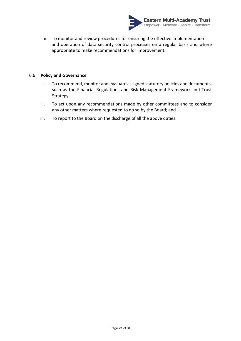

ii. To monitor and review procedures for ensuring the effective implementation and operation of data security control processes on a regular basis and where appropriate to make recommendations for improvement.

## 6.6 **Policy and Governance**

- i. To recommend, monitor and evaluate assigned statutory policies and documents, such as the Financial Regulations and Risk Management Framework and Trust Strategy.
- ii. To act upon any recommendations made by other committees and to consider any other matters where requested to do so by the Board; and
- iii. To report to the Board on the discharge of all the above duties.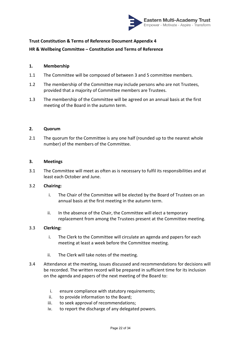

# **HR & Wellbeing Committee – Constitution and Terms of Reference**

# **1. Membership**

- 1.1 The Committee will be composed of between 3 and 5 committee members.
- 1.2 The membership of the Committee may include persons who are not Trustees, provided that a majority of Committee members are Trustees.
- 1.3 The membership of the Committee will be agreed on an annual basis at the first meeting of the Board in the autumn term.

#### **2. Quorum**

2.1 The quorum for the Committee is any one half (rounded up to the nearest whole number) of the members of the Committee.

# **3. Meetings**

3.1 The Committee will meet as often as is necessary to fulfil its responsibilities and at least each October and June.

# 3.2 **Chairing:**

- i. The Chair of the Committee will be elected by the Board of Trustees on an annual basis at the first meeting in the autumn term.
- ii. In the absence of the Chair, the Committee will elect a temporary replacement from among the Trustees present at the Committee meeting.

#### 3.3 **Clerking:**

- i. The Clerk to the Committee will circulate an agenda and papers for each meeting at least a week before the Committee meeting.
- ii. The Clerk will take notes of the meeting.
- 3.4 Attendance at the meeting, issues discussed and recommendations for decisions will be recorded. The written record will be prepared in sufficient time for its inclusion on the agenda and papers of the next meeting of the Board to:
	- i. ensure compliance with statutory requirements;
	- ii. to provide information to the Board;
	- iii. to seek approval of recommendations;
	- iv. to report the discharge of any delegated powers.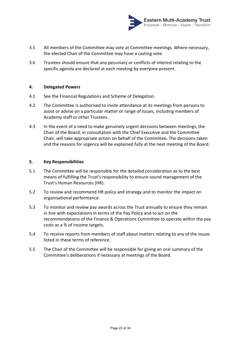

- 3.5 All members of the Committee may vote at Committee meetings. Where necessary, the elected Chair of the Committee may have a casting vote.
- 3.6 Trustees should ensure that any pecuniary or conflicts of interest relating to the specific agenda are declared at each meeting by everyone present.

# **4. Delegated Powers**

- 4.1 See the Financial Regulations and Scheme of Delegation.
- 4.2 The Committee is authorised to invite attendance at its meetings from persons to assist or advise on a particular matter or range of issues, including members of Academy staff or other Trustees.
- 4.3 In the event of a need to make genuinely urgent decisions between meetings, the Chair of the Board, in consultation with the Chief Executive and the Committee Chair, will take appropriate action on behalf of the Committee. The decisions taken and the reasons for urgency will be explained fully at the next meeting of the Board.

#### **5. Key Responsibilities**

- 5.1 The Committee will be responsible for the detailed consideration as to the best means of fulfilling the Trust's responsibility to ensure sound management of the Trust's Human Resources (HR).
- 5.2 To review and recommend HR policy and strategy and to monitor the impact on organisational performance.
- 5.3 To monitor and review pay awards across the Trust annually to ensure they remain in line with expectations in terms of the Pay Policy and to act on the recommendations of the Finance & Operations Committee to operate within the pay costs as a % of income targets.
- 5.4 To receive reports from members of staff about matters relating to any of the issues listed in these terms of reference.
- 5.5 The Chair of the Committee will be responsible for giving an oral summary of the Committee's deliberations if necessary at meetings of the Board.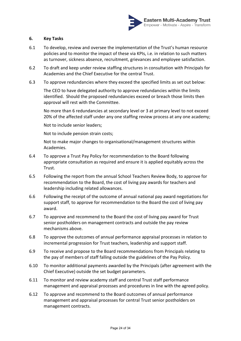

# **6. Key Tasks**

- 6.1 To develop, review and oversee the implementation of the Trust's human resource policies and to monitor the impact of these via KPIs, i.e. in relation to such matters as turnover, sickness absence, recruitment, grievances and employee satisfaction.
- 6.2 To draft and keep under review staffing structures in consultation with Principals for Academies and the Chief Executive for the central Trust.
- 6.3 To approve redundancies where they exceed the specified limits as set out below:

The CEO to have delegated authority to approve redundancies within the limits identified. Should the proposed redundancies exceed or breach those limits then approval will rest with the Committee.

No more than 6 redundancies at secondary level or 3 at primary level to not exceed 20% of the affected staff under any one staffing review process at any one academy;

Not to include senior leaders;

Not to include pension strain costs;

Not to make major changes to organisational/management structures within Academies.

- 6.4 To approve a Trust Pay Policy for recommendation to the Board following appropriate consultation as required and ensure it is applied equitably across the Trust.
- 6.5 Following the report from the annual School Teachers Review Body, to approve for recommendation to the Board, the cost of living pay awards for teachers and leadership including related allowances.
- 6.6 Following the receipt of the outcome of annual national pay award negotiations for support staff, to approve for recommendation to the Board the cost of living pay award.
- 6.7 To approve and recommend to the Board the cost of living pay award for Trust senior postholders on management contracts and outside the pay review mechanisms above.
- 6.8 To approve the outcomes of annual performance appraisal processes in relation to incremental progression for Trust teachers, leadership and support staff.
- 6.9 To receive and propose to the Board recommendations from Principals relating to the pay of members of staff falling outside the guidelines of the Pay Policy.
- 6.10 To monitor additional payments awarded by the Principals (after agreement with the Chief Executive) outside the set budget parameters.
- 6.11 To monitor and review academy staff and central Trust staff performance management and appraisal processes and procedures in line with the agreed policy.
- 6.12 To approve and recommend to the Board outcomes of annual performance management and appraisal processes for central Trust senior postholders on management contracts.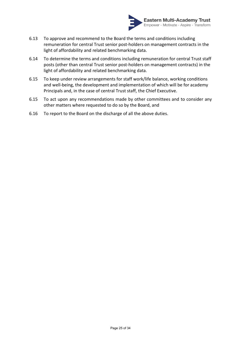

- 6.13 To approve and recommend to the Board the terms and conditions including remuneration for central Trust senior post-holders on management contracts in the light of affordability and related benchmarking data.
- 6.14 To determine the terms and conditions including remuneration for central Trust staff posts (other than central Trust senior post-holders on management contracts) in the light of affordability and related benchmarking data.
- 6.15 To keep under review arrangements for staff work/life balance, working conditions and well-being, the development and implementation of which will be for academy Principals and, in the case of central Trust staff, the Chief Executive.
- 6.15 To act upon any recommendations made by other committees and to consider any other matters where requested to do so by the Board, and
- 6.16 To report to the Board on the discharge of all the above duties.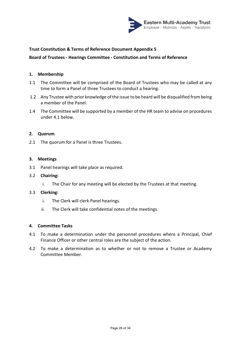

# **Board of Trustees - Hearings Committee - Constitution and Terms of Reference**

# **1. Membership**

- 1.1 The Committee will be comprised of the Board of Trustees who may be called at any time to form a Panel of three Trustees to conduct a hearing.
- 1.2 Any Trustee with prior knowledge of the issue to be heard will be disqualified from being a member of the Panel.
- 1.4 The Committee will be supported by a member of the HR team to advise on procedures under 4.1 below.

## **2. Quorum**

2.1 The quorum for a Panel is three Trustees.

# **3. Meetings**

3.1 Panel hearings will take place as required.

### 3.2 **Chairing:**

i. The Chair for any meeting will be elected by the Trustees at that meeting.

#### 3.3 **Clerking:**

- i. The Clerk will clerk Panel hearings.
- ii. The Clerk will take confidential notes of the meetings.

- 4.1 To make a determination under the personnel procedures where a Principal, Chief Finance Officer or other central roles are the subject of the action.
- 4.2 To make a determination as to whether or not to remove a Trustee or Academy Committee Member.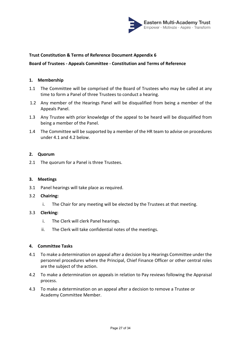

# **Board of Trustees - Appeals Committee - Constitution and Terms of Reference**

#### **1. Membership**

- 1.1 The Committee will be comprised of the Board of Trustees who may be called at any time to form a Panel of three Trustees to conduct a hearing.
- 1.2 Any member of the Hearings Panel will be disqualified from being a member of the Appeals Panel.
- 1.3 Any Trustee with prior knowledge of the appeal to be heard will be disqualified from being a member of the Panel.
- 1.4 The Committee will be supported by a member of the HR team to advise on procedures under 4.1 and 4.2 below.

#### **2. Quorum**

2.1 The quorum for a Panel is three Trustees.

### **3. Meetings**

3.1 Panel hearings will take place as required.

#### 3.2 **Chairing:**

i. The Chair for any meeting will be elected by the Trustees at that meeting.

# 3.3 **Clerking:**

- i. The Clerk will clerk Panel hearings.
- ii. The Clerk will take confidential notes of the meetings.

- 4.1 To make a determination on appeal after a decision by a Hearings Committee under the personnel procedures where the Principal, Chief Finance Officer or other central roles are the subject of the action.
- 4.2 To make a determination on appeals in relation to Pay reviews following the Appraisal process.
- 4.3 To make a determination on an appeal after a decision to remove a Trustee or Academy Committee Member.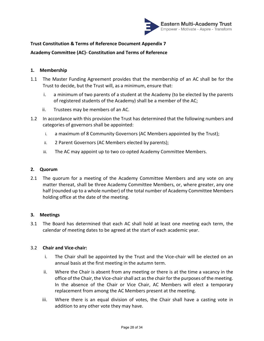

**Academy Committee (AC)- Constitution and Terms of Reference**

# **1. Membership**

- 1.1 The Master Funding Agreement provides that the membership of an AC shall be for the Trust to decide, but the Trust will, as a minimum, ensure that:
	- i. a minimum of two parents of a student at the Academy (to be elected by the parents of registered students of the Academy) shall be a member of the AC;
	- ii. Trustees may be members of an AC.
- 1.2 In accordance with this provision the Trust has determined that the following numbers and categories of governors shall be appointed:
	- i. a maximum of 8 Community Governors (AC Members appointed by the Trust);
	- ii. 2 Parent Governors (AC Members elected by parents);
	- iii. The AC may appoint up to two co-opted Academy Committee Members.

# **2. Quorum**

2.1 The quorum for a meeting of the Academy Committee Members and any vote on any matter thereat, shall be three Academy Committee Members, or, where greater, any one half (rounded up to a whole number) of the total number of Academy Committee Members holding office at the date of the meeting.

# **3. Meetings**

3.1 The Board has determined that each AC shall hold at least one meeting each term, the calendar of meeting dates to be agreed at the start of each academic year.

# 3.2 **Chair and Vice-chair:**

- i. The Chair shall be appointed by the Trust and the Vice-chair will be elected on an annual basis at the first meeting in the autumn term.
- ii. Where the Chair is absent from any meeting or there is at the time a vacancy in the office of the Chair, the Vice-chair shall act as the chair for the purposes of the meeting. In the absence of the Chair or Vice Chair, AC Members will elect a temporary replacement from among the AC Members present at the meeting.
- iii. Where there is an equal division of votes, the Chair shall have a casting vote in addition to any other vote they may have.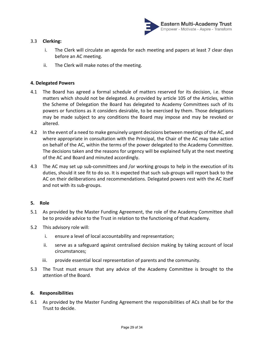

# 3.3 **Clerking:**

- i. The Clerk will circulate an agenda for each meeting and papers at least 7 clear days before an AC meeting.
- ii. The Clerk will make notes of the meeting.

# **4. Delegated Powers**

- 4.1 The Board has agreed a formal schedule of matters reserved for its decision, i.e. those matters which should not be delegated. As provided by article 105 of the Articles, within the Scheme of Delegation the Board has delegated to Academy Committees such of its powers or functions as it considers desirable, to be exercised by them. Those delegations may be made subject to any conditions the Board may impose and may be revoked or altered.
- 4.2 In the event of a need to make genuinely urgent decisions between meetings of the AC, and where appropriate in consultation with the Principal, the Chair of the AC may take action on behalf of the AC, within the terms of the power delegated to the Academy Committee. The decisions taken and the reasons for urgency will be explained fully at the next meeting of the AC and Board and minuted accordingly.
- 4.3 The AC may set up sub-committees and /or working groups to help in the execution of its duties, should it see fit to do so. It is expected that such sub-groups will report back to the AC on their deliberations and recommendations. Delegated powers rest with the AC itself and not with its sub-groups.

# **5. Role**

- 5.1 As provided by the Master Funding Agreement, the role of the Academy Committee shall be to provide advice to the Trust in relation to the functioning of that Academy.
- 5.2 This advisory role will:
	- i. ensure a level of local accountability and representation;
	- ii. serve as a safeguard against centralised decision making by taking account of local circumstances;
	- iii. provide essential local representation of parents and the community.
- 5.3 The Trust must ensure that any advice of the Academy Committee is brought to the attention of the Board.

#### **6. Responsibilities**

6.1 As provided by the Master Funding Agreement the responsibilities of ACs shall be for the Trust to decide.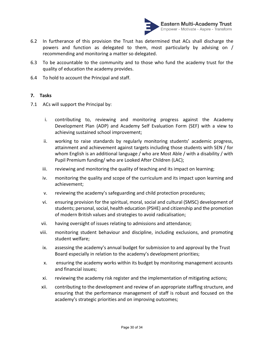

- 6.2 In furtherance of this provision the Trust has determined that ACs shall discharge the powers and function as delegated to them, most particularly by advising on / recommending and monitoring a matter so delegated.
- 6.3 To be accountable to the community and to those who fund the academy trust for the quality of education the academy provides.
- 6.4 To hold to account the Principal and staff.

# **7. Tasks**

- 7.1 ACs will support the Principal by:
	- i. contributing to, reviewing and monitoring progress against the Academy Development Plan (ADP) and Academy Self Evaluation Form (SEF) with a view to achieving sustained school improvement;
	- ii. working to raise standards by regularly monitoring students' academic progress, attainment and achievement against targets including those students with SEN / for whom English is an additional language / who are Most Able / with a disability / with Pupil Premium funding/ who are Looked After Children (LAC);
	- iii. reviewing and monitoring the quality of teaching and its impact on learning;
	- iv. monitoring the quality and scope of the curriculum and its impact upon learning and achievement;
	- v. reviewing the academy's safeguarding and child protection procedures;
	- vi. ensuring provision for the spiritual, moral, social and cultural (SMSC) development of students; personal, social, health education (PSHE) and citizenship and the promotion of modern British values and strategies to avoid radicalisation;
	- vii. having oversight of issues relating to admissions and attendance;
	- viii. monitoring student behaviour and discipline, including exclusions, and promoting student welfare;
	- ix. assessing the academy's annual budget for submission to and approval by the Trust Board especially in relation to the academy's development priorities;
	- x. ensuring the academy works within its budget by monitoring management accounts and financial issues;
	- xi. reviewing the academy risk register and the implementation of mitigating actions;
	- xii. contributing to the development and review of an appropriate staffing structure, and ensuring that the performance management of staff is robust and focused on the academy's strategic priorities and on improving outcomes;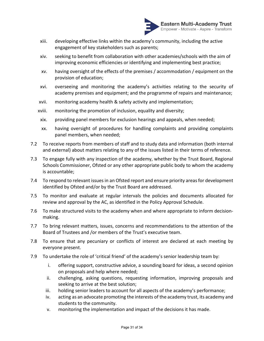

- xiii. developing effective links within the academy's community, including the active engagement of key stakeholders such as parents;
- xiv. seeking to benefit from collaboration with other academies/schools with the aim of improving economic efficiencies or identifying and implementing best practice;
- xv. having oversight of the effects of the premises / accommodation / equipment on the provision of education;
- xvi. overseeing and monitoring the academy's activities relating to the security of academy premises and equipment; and the programme of repairs and maintenance;
- xvii. monitoring academy health & safety activity and implementation;
- xviii. monitoring the promotion of inclusion, equality and diversity;
- xix. providing panel members for exclusion hearings and appeals, when needed;
- xx. having oversight of procedures for handling complaints and providing complaints panel members, when needed;
- 7.2 To receive reports from members of staff and to study data and information (both internal and external) about matters relating to any of the issues listed in their terms of reference.
- 7.3 To engage fully with any inspection of the academy, whether by the Trust Board, Regional Schools Commissioner, Ofsted or any other appropriate public body to whom the academy is accountable;
- 7.4 To respond to relevant issues in an Ofsted report and ensure priority areas for development identified by Ofsted and/or by the Trust Board are addressed.
- 7.5 To monitor and evaluate at regular intervals the policies and documents allocated for review and approval by the AC, as identified in the Policy Approval Schedule.
- 7.6 To make structured visits to the academy when and where appropriate to inform decisionmaking.
- 7.7 To bring relevant matters, issues, concerns and recommendations to the attention of the Board of Trustees and /or members of the Trust's executive team.
- 7.8 To ensure that any pecuniary or conflicts of interest are declared at each meeting by everyone present.
- 7.9 To undertake the role of 'critical friend' of the academy's senior leadership team by:
	- i. offering support, constructive advice, a sounding board for ideas, a second opinion on proposals and help where needed;
	- ii. challenging, asking questions, requesting information, improving proposals and seeking to arrive at the best solution;
	- iii. holding senior leaders to account for all aspects of the academy's performance;
	- iv. acting as an advocate promoting the interests of the academy trust, its academy and students to the community.
	- v. monitoring the implementation and impact of the decisions it has made.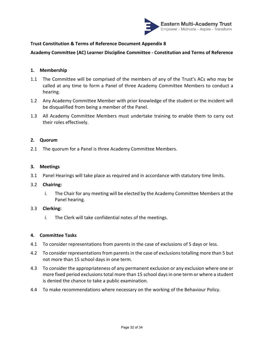

# **Academy Committee (AC) Learner Discipline Committee - Constitution and Terms of Reference**

## **1. Membership**

- 1.1 The Committee will be comprised of the members of any of the Trust's ACs who may be called at any time to form a Panel of three Academy Committee Members to conduct a hearing.
- 1.2 Any Academy Committee Member with prior knowledge of the student or the incident will be disqualified from being a member of the Panel.
- 1.3 All Academy Committee Members must undertake training to enable them to carry out their roles effectively.

#### **2. Quorum**

2.1 The quorum for a Panel is three Academy Committee Members.

#### **3. Meetings**

3.1 Panel Hearings will take place as required and in accordance with statutory time limits.

#### 3.2 **Chairing:**

i. The Chair for any meeting will be elected by the Academy Committee Members at the Panel hearing.

#### 3.3 **Clerking:**

i. The Clerk will take confidential notes of the meetings.

- 4.1 To consider representations from parents in the case of exclusions of 5 days or less.
- 4.2 To consider representations from parents in the case of exclusions totalling more than 5 but not more than 15 school days in one term.
- 4.3 To consider the appropriateness of any permanent exclusion or any exclusion where one or more fixed period exclusions total more than 15 school days in one term or where a student is denied the chance to take a public examination.
- 4.4 To make recommendations where necessary on the working of the Behaviour Policy.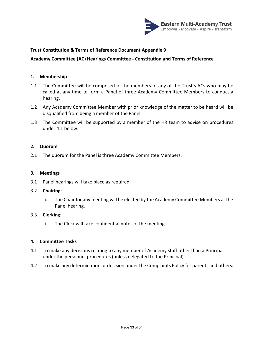

# **Academy Committee (AC) Hearings Committee - Constitution and Terms of Reference**

#### **1. Membership**

- 1.1 The Committee will be comprised of the members of any of the Trust's ACs who may be called at any time to form a Panel of three Academy Committee Members to conduct a hearing.
- 1.2 Any Academy Committee Member with prior knowledge of the matter to be heard will be disqualified from being a member of the Panel.
- 1.3 The Committee will be supported by a member of the HR team to advise on procedures under 4.1 below.

#### **2. Quorum**

2.1 The quorum for the Panel is three Academy Committee Members.

#### **3. Meetings**

3.1 Panel hearings will take place as required.

#### 3.2 **Chairing:**

i. The Chair for any meeting will be elected by the Academy Committee Members at the Panel hearing.

#### 3.3 **Clerking:**

i. The Clerk will take confidential notes of the meetings.

- 4.1 To make any decisions relating to any member of Academy staff other than a Principal under the personnel procedures (unless delegated to the Principal).
- 4.2 To make any determination or decision under the Complaints Policy for parents and others.